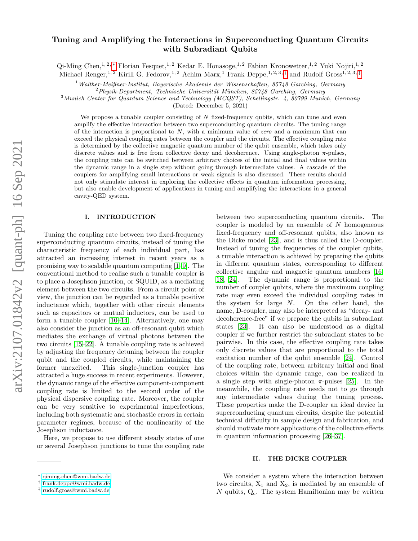# arXiv:2107.01842v2 [quant-ph] 16 Sep 2021 arXiv:2107.01842v2 [quant-ph] 16 Sep 2021

# Tuning and Amplifying the Interactions in Superconducting Quantum Circuits with Subradiant Qubits

Qi-Ming Chen,<sup>1, 2, \*</sup> Florian Fesquet,<sup>1, 2</sup> Kedar E. Honasoge,<sup>1, 2</sup> Fabian Kronowetter,<sup>1, 2</sup> Yuki Nojiri,<sup>1, 2</sup>

Michael Renger,<sup>1, 2</sup> Kirill G. Fedorov,<sup>1, 2</sup> Achim Marx,<sup>1</sup> Frank Deppe,<sup>1, 2, 3, [†](#page-0-1)</sup> and Rudolf Gross<sup>1, 2, 3, [‡](#page-0-2)</sup>

 $1$ Walther-Meißner-Institut, Bayerische Akademie der Wissenschaften, 85748 Garching, Germany

 $2P$ hysik-Department, Technische Universität München, 85748 Garching, Germany

<sup>3</sup>Munich Center for Quantum Science and Technology (MCQST), Schellingstr. 4, 80799 Munich, Germany

(Dated: December 5, 2021)

We propose a tunable coupler consisting of  $N$  fixed-frequency qubits, which can tune and even amplify the effective interaction between two superconducting quantum circuits. The tuning range of the interaction is proportional to  $N$ , with a minimum value of *zero* and a maximum that can exceed the physical coupling rates between the coupler and the circuits. The effective coupling rate is determined by the collective magnetic quantum number of the qubit ensemble, which takes only discrete values and is free from collective decay and decoherence. Using single-photon  $\pi$ -pulses, the coupling rate can be switched between arbitrary choices of the initial and final values within the dynamic range in a single step without going through intermediate values. A cascade of the couplers for amplifying small interactions or weak signals is also discussed. These results should not only stimulate interest in exploring the collective effects in quantum information processing, but also enable development of applications in tuning and amplifying the interactions in a general cavity-QED system.

### I. INTRODUCTION

Tuning the coupling rate between two fixed-frequency superconducting quantum circuits, instead of tuning the characteristic frequency of each individual part, has attracted an increasing interest in recent years as a promising way to scalable quantum computing [\[1](#page-8-0)[–9\]](#page-9-0). The conventional method to realize such a tunable coupler is to place a Josephson junction, or SQUID, as a mediating element between the two circuits. From a circuit point of view, the junction can be regarded as a tunable positive inductance which, together with other circuit elements such as capacitors or mutual inductors, can be used to form a tunable coupler [\[10–](#page-9-1)[14\]](#page-9-2). Alternatively, one may also consider the junction as an off-resonant qubit which mediates the exchange of virtual photons between the two circuits [\[15](#page-9-3)[–22\]](#page-9-4). A tunable coupling rate is achieved by adjusting the frequency detuning between the coupler qubit and the coupled circuits, while maintaining the former unexcited. This single-junction coupler has attracted a huge success in recent experiments. However, the dynamic range of the effective component-component coupling rate is limited to the second order of the physical dispersive coupling rate. Moreover, the coupler can be very sensitive to experimental imperfections, including both systematic and stochastic errors in certain parameter regimes, because of the nonlinearity of the Josephson inductance.

Here, we propose to use different steady states of one or several Josephson junctions to tune the coupling rate between two superconducting quantum circuits. The coupler is modeled by an ensemble of  $N$  homogeneous fixed-frequency and off-resonant qubits, also known as the Dicke model [\[23\]](#page-9-5), and is thus called the D-coupler. Instead of tuning the frequencies of the coupler qubits, a tunable interaction is achieved by preparing the qubits in different quantum states, corresponding to different collective angular and magnetic quantum numbers [\[16,](#page-9-6) [18,](#page-9-7) [24\]](#page-9-8). The dynamic range is proportional to the number of coupler qubits, where the maximum coupling rate may even exceed the individual coupling rates in the system for large  $N$ . On the other hand, the name, D-coupler, may also be interpreted as "decay- and decoherence-free" if we prepare the qubits in subradiant states [\[23\]](#page-9-5). It can also be understood as a digital coupler if we further restrict the subradiant states to be pairwise. In this case, the effective coupling rate takes only discrete values that are proportional to the total excitation number of the qubit ensemble [\[24\]](#page-9-8). Control of the coupling rate, between arbitrary initial and final choices within the dynamic range, can be realized in a single step with single-photon  $\pi$ -pulses [\[25\]](#page-9-9). In the meanwhile, the coupling rate needs not to go through any intermediate values during the tuning process. These properties make the D-coupler an ideal device in superconducting quantum circuits, despite the potential technical difficulty in sample design and fabrication, and should motivate more applications of the collective effects in quantum information processing [\[26](#page-9-10)[–37\]](#page-10-0).

# II. THE DICKE COUPLER

We consider a system where the interaction between two circuits,  $X_1$  and  $X_2$ , is mediated by an ensemble of  $N$  qubits,  $Q_c$ . The system Hamiltonian may be written

<span id="page-0-0"></span><sup>∗</sup> [qiming.chen@wmi.badw.de](mailto:qiming.chen@wmi.badw.de)

<span id="page-0-1"></span><sup>†</sup> [frank.deppe@wmi.badw.de](mailto:frank.deppe@wmi.badw.de)

<span id="page-0-2"></span><sup>‡</sup> [rudolf.gross@wmi.badw.de](mailto:rudolf.gross@wmi.badw.de)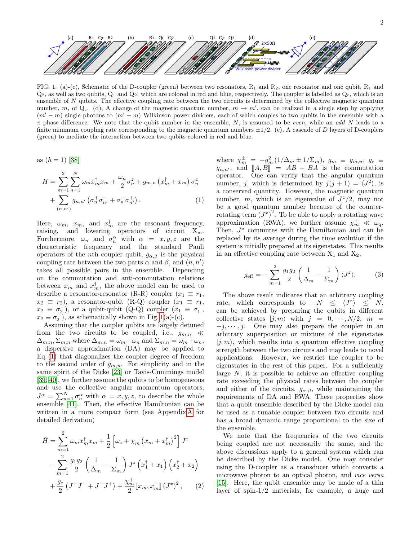

<span id="page-1-0"></span>FIG. 1. (a)-(c), Schematic of the D-coupler (green) between two resonators,  $R_1$  and  $R_2$ , one resonator and one qubit,  $R_1$  and  $Q_2$ , as well as two qubits,  $Q_1$  and  $Q_2$ , which are colored in red and blue, respectively. The coupler is labelled as  $Q_c$ , which is an ensemble of  $N$  qubits. The effective coupling rate between the two circuits is determined by the collective magnetic quantum number, m, of  $Q_c$ . (d), A change of the magnetic quantum number,  $m \to m'$ , can be realized in a single step by applying  $(m' - m)$  single photons to  $(m' - m)$  Wilkinson power dividers, each of which couples to two qubits in the ensemble with a  $\pi$  phase difference. We note that the qubit number in the ensemble, N, is assumed to be even, while an odd N leads to a finite minimum coupling rate corresponding to the magnetic quantum numbers  $\pm 1/2$ . (e), A cascade of D layers of D-couplers (green) to mediate the interaction between two qubits colored in red and blue.

as  $(\hbar = 1)$  [\[38\]](#page-10-1)

$$
H = \sum_{m=1}^{2} \sum_{n=1}^{N} \omega_m x_m^{\dagger} x_m + \frac{\omega_n}{2} \sigma_n^z + g_{m,n} \left( x_m^{\dagger} + x_m \right) \sigma_n^x + \sum_{(n,n')} g_{n,n'} \left( \sigma_n^{\dagger} \sigma_{n'}^{-} + \sigma_n^{-} \sigma_{n'}^{+} \right). \tag{1}
$$

Here,  $\omega_m$ ,  $x_m$ , and  $x_m^{\dagger}$  are the resonant frequency, raising, and lowering operators of circuit  $X_m$ . Furthermore,  $\omega_n$  and  $\sigma_n^{\alpha}$  with  $\alpha = x, y, z$  are the characteristic frequency and the standard Pauli operators of the *n*th coupler qubit,  $g_{\alpha,\beta}$  is the physical coupling rate between the two parts  $\alpha$  and  $\beta$ , and  $(n, n')$ takes all possible pairs in the ensemble. Depending on the commutation and anti-commutation relations between  $x_m$  and  $x_m^{\dagger}$ , the above model can be used to describe a resonator-resonator (R-R) coupler  $(x_1 \equiv r_1,$  $x_2 \equiv r_2$ ), a resonator-qubit (R-Q) coupler  $(x_1 \equiv r_1,$  $x_2 \equiv \sigma_2^-$ ), or a qubit-qubit (Q-Q) coupler  $(x_1 \equiv \sigma_1^-$ ,  $x_2 \equiv \sigma_2^{-}$ , as schematically shown in Fig. [1\(](#page-1-0)a)-(c).

Assuming that the coupler qubits are largely detuned from the two circuits to be coupled, i.e.,  $g_{m,n} \ll$  $\Delta_{m,n}, \Sigma_{m,n}$  where  $\Delta_{m,n} = \omega_m - \omega_n$  and  $\Sigma_{m,n} = \omega_m + \omega_n$ , a dispersive approximation (DA) may be applied to Eq. [\(1\)](#page-1-1) that diagonalizes the coupler degree of freedom to the second order of  $g_{m,n}$ . For simplicity and in the same spirit of the Dicke [\[23\]](#page-9-5) or Tavis-Cummings model [\[39,](#page-10-2) [40\]](#page-10-3), we further assume the qubits to be homogeneous and use the collective angular momentum operators,  $J^{\alpha} = \sum_{n=1}^{N} \sigma_n^{\alpha}$  with  $\alpha = x, y, z$ , to describe the whole ensemble [\[41\]](#page-10-4). Then, the effective Hamiltonian can be written in a more compact form (see Appendix [A](#page-5-0) for detailed derivation)

$$
\tilde{H} = \sum_{m=1}^{2} \omega_m x_m^{\dagger} x_m + \frac{1}{2} \left[ \omega_c + \chi_m^- \left( x_m + x_m^{\dagger} \right)^2 \right] J^z
$$

$$
- \sum_{m=1}^{2} \frac{g_1 g_2}{2} \left( \frac{1}{\Delta_m} - \frac{1}{\Sigma_m} \right) J^z \left( x_1^{\dagger} + x_1 \right) \left( x_2^{\dagger} + x_2 \right)
$$

$$
+ \frac{g_c}{2} \left( J^+ J^- + J^- J^+ \right) + \frac{\chi_m^+}{2} \left[ x_m, x_m^{\dagger} \right] \left( J^x \right)^2, \tag{2}
$$

<span id="page-1-1"></span>Then,  $J^z$  commutes with the Hamiltonian and can be where  $\chi_m^{\pm} = -g_m^2 (1/\Delta_m \pm 1/\Sigma_m)$ ,  $g_m \equiv g_{m,n}$ ,  $g_c \equiv$  $g_{n,n'}$ , and  $\llbracket A,B \rrbracket = AB - BA$  is the commutation<br>operator. One can verify that the angular quantum operator. One can verify that the angular quantum number, j, which is determined by  $j(j + 1) = \langle J^2 \rangle$ , is a conserved quantity. However, the magnetic quantum number, m, which is an eigenvalue of  $J^z/2$ , may not be a good quantum number because of the counterrotating term  $(J^x)^2$ . To be able to apply a rotating wave approximation (RWA), we further assume  $\chi_m^+ \ll \omega_q$ . replaced by its average during the time evolution if the system is initially prepared at its eigenstates. This results in an effective coupling rate between  $X_1$  and  $X_2$ ,

$$
g_{\text{eff}} = -\sum_{m=1}^{2} \frac{g_1 g_2}{2} \left( \frac{1}{\Delta_m} - \frac{1}{\Sigma_m} \right) \langle J^z \rangle. \tag{3}
$$

The above result indicates that an arbitrary coupling rate, which corresponds to  $-N \leq \langle J^z \rangle \leq N$ , can be achieved by preparing the qubits in different collective states  $|j, m\rangle$  with  $j = 0, \cdots, N/2, m =$  $-j, \dots, j$ . One may also prepare the coupler in an arbitrary superposition or mixture of the eigenstates  $|j, m\rangle$ , which results into a quantum effective coupling strength between the two circuits and may leads to novel applications. However, we restrict the coupler to be eigenstates in the rest of this paper. For a sufficiently large  $N$ , it is possible to achieve an effective coupling rate exceeding the physical rates between the coupler and either of the circuits,  $g_{\alpha,\beta}$ , while maintaining the requirements of DA and RWA. These properties show that a qubit ensemble described by the Dicke model can be used as a tunable coupler between two circuits and has a broad dynamic range proportional to the size of the ensemble.

<span id="page-1-2"></span>We note that the frequencies of the two circuits being coupled are not necessarily the same, and the above discussions apply to a general system which can be described by the Dicke model. One may consider using the D-coupler as a transducer which converts a microwave photon to an optical photon, and vice versa [\[15\]](#page-9-3). Here, the qubit ensemble may be made of a thin layer of spin-1/2 materials, for example, a huge and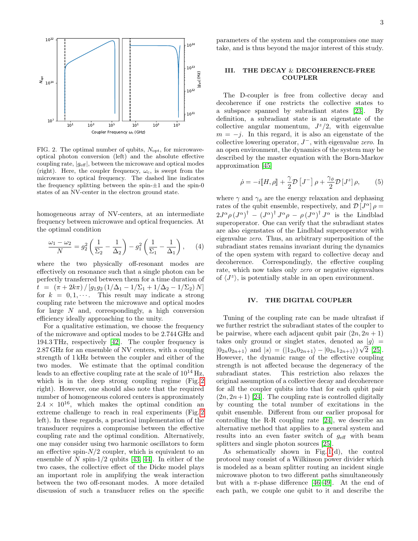

<span id="page-2-0"></span>FIG. 2. The optimal number of qubits,  $N_{\text{opt}}$ , for microwaveoptical photon conversion (left) and the absolute effective coupling rate,  $|g_{\text{eff}}|$ , between the microwave and optical modes (right). Here, the coupler frequency,  $\omega_c$ , is swept from the microwave to optical frequency. The dashed line indicates the frequency splitting between the spin- $\pm 1$  and the spin-0 states of an NV-center in the electron ground state.

homogeneous array of NV-centers, at an intermediate frequency between microwave and optical frequencies. At the optimal condition

$$
\frac{\omega_1 - \omega_2}{N} = g_2^2 \left( \frac{1}{\Sigma_2} - \frac{1}{\Delta_2} \right) - g_1^2 \left( \frac{1}{\Sigma_1} - \frac{1}{\Delta_1} \right), \quad (4)
$$

where the two physically off-resonant modes are effectively on resonance such that a single photon can be perfectly transferred between them for a time duration of  $t = (\pi + 2k\pi) / [g_1 g_2 (1/\Delta_1 - 1/\Sigma_1 + 1/\Delta_2 - 1/\Sigma_2) N]$ for  $k = 0, 1, \dots$ . This result may indicate a strong coupling rate between the microwave and optical modes for large  $N$  and, correspondingly, a high conversion efficiency ideally approaching to the unity.

For a qualitative estimation, we choose the frequency of the microwave and optical modes to be 2.744 GHz and 194.3 THz, respectively [\[42\]](#page-10-5). The coupler frequency is 2.87 GHz for an ensemble of NV centers, with a coupling strength of 1 kHz between the coupler and either of the two modes. We estimate that the optimal condition leads to an effective coupling rate at the scale of  $10^{14}$  Hz, which is in the deep strong coupling regime (Fig. [2](#page-2-0)) right). However, one should also note that the required number of homogeneous colored centers is approximately  $2.4 \times 10^{16}$ , which makes the optimal condition an extreme challenge to reach in real experiments (Fig. [2](#page-2-0) left). In these regards, a practical implementation of the transducer requires a compromise between the effective coupling rate and the optimal condition. Alternatively, one may consider using two harmonic oscillators to form an effective spin- $N/2$  coupler, which is equivalent to an ensemble of N spin- $1/2$  qubits [\[43,](#page-10-6) [44\]](#page-10-7). In either of the two cases, the collective effect of the Dicke model plays an important role in amplifying the weak interaction between the two off-resonant modes. A more detailed discussion of such a transducer relies on the specific

parameters of the system and the compromises one may take, and is thus beyond the major interest of this study.

# III. THE DECAY & DECOHERENCE-FREE **COUPLER**

The D-coupler is free from collective decay and decoherence if one restricts the collective states to a subspace spanned by subradiant states [\[23\]](#page-9-5). By definition, a subradiant state is an eigenstate of the collective angular momentum,  $J^z/2$ , with eigenvalue  $m = -j$ . In this regard, it is also an eigenstate of the collective lowering operator,  $J^-$ , with eigenvalue zero. In an open environment, the dynamics of the system may be described by the master equation with the Born-Markov approximation [\[45\]](#page-10-8)

$$
\dot{\rho} = -i[H, \rho] + \frac{\gamma}{2} \mathcal{D} \left[ J^{-} \right] \rho + \frac{\gamma_{\phi}}{2} \mathcal{D} \left[ J^{z} \right] \rho, \qquad (5)
$$

where  $\gamma$  and  $\gamma_{\phi}$  are the energy relaxation and dephasing rates of the qubit ensemble, respectively, and  $\mathcal{D}[J^{\alpha}] \rho =$  $2J^{\alpha}\rho (J^{\alpha})^{\dagger} - (J^{\alpha})^{\dagger} J^{\alpha} \rho - \rho (J^{\alpha})^{\dagger} J^{\alpha}$  is the Lindblad superoperator. One can verify that the subradiant states are also eigenstates of the Lindblad superoperator with eigenvalue zero. Thus, an arbitrary superposition of the subradiant states remains invariant during the dynamics of the open system with regard to collective decay and decoherence. Correspondingly, the effective coupling rate, which now takes only zero or negative eigenvalues of  $\langle J^z \rangle$ , is potentially stable in an open environment.

## IV. THE DIGITAL COUPLER

Tuning of the coupling rate can be made ultrafast if we further restrict the subradiant states of the coupler to be pairwise, where each adjacent qubit pair  $(2n, 2n + 1)$ takes only ground or singlet states, denoted as  $|g\rangle =$  $|0_{2n}0_{2n+1}\rangle$  and  $|s\rangle = (|1_{2n}0_{2n+1}\rangle - |0_{2n}1_{2n+1}\rangle)\sqrt{2}$  [\[25\]](#page-9-9). However, the dynamic range of the effective coupling strength is not affected because the degeneracy of the subradiant states. This restriction also relaxes the original assumption of a collective decay and decoherence for all the coupler qubits into that for each qubit pair  $(2n, 2n+1)$  [\[24\]](#page-9-8). The coupling rate is controlled digitally by counting the total number of excitations in the qubit ensemble. Different from our earlier proposal for controlling the R-R coupling rate [\[24\]](#page-9-8), we describe an alternative method that applies to a general system and results into an even faster switch of  $g_{\text{eff}}$  with beam splitters and single photon sources [\[25\]](#page-9-9).

As schematically shown in Fig. [1\(](#page-1-0)d), the control protocol may consist of a Wilkinson power divider which is modeled as a beam splitter routing an incident single microwave photon to two different paths simultaneously but with a  $\pi$ -phase difference [\[46–](#page-10-9)[49\]](#page-10-10). At the end of each path, we couple one qubit to it and describe the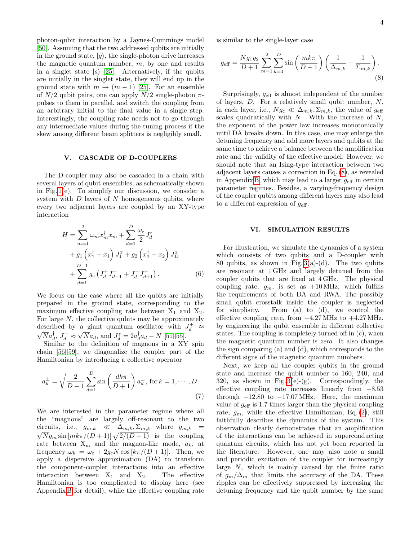photon-qubit interaction by a Jaynes-Cummings model [\[50\]](#page-10-11). Assuming that the two addressed qubits are initially in the ground state,  $|g\rangle$ , the single-photon drive increases the magnetic quantum number,  $m$ , by one and results in a singlet state  $|s\rangle$  [\[25\]](#page-9-9). Alternatively, if the qubits are initially in the singlet state, they will end up in the ground state with  $m \to (m-1)$  [\[25\]](#page-9-9). For an ensemble of  $N/2$  qubit pairs, one can apply  $N/2$  single-photon  $\pi$ pulses to them in parallel, and switch the coupling from an arbitrary initial to the final value in a single step. Interestingly, the coupling rate needs not to go through

### V. CASCADE OF D-COUPLERS

any intermediate values during the tuning process if the skew among different beam splitters is negligibly small.

The D-coupler may also be cascaded in a chain with several layers of qubit ensembles, as schematically shown in Fig. [1\(](#page-1-0)e). To simplify our discussion, we consider a system with  $D$  layers of  $N$  homogeneous qubits, where every two adjacent layers are coupled by an XY-type interaction

$$
H = \sum_{m=1}^{2} \omega_m x_m^{\dagger} x_m + \sum_{d=1}^{D} \frac{\omega_c}{2} J_d^z
$$
  
+  $g_1 \left( x_1^{\dagger} + x_1 \right) J_1^x + g_2 \left( x_2^{\dagger} + x_2 \right) J_D^x$   
+  $\sum_{d=1}^{D-1} g_c \left( J_d^{\dagger} J_{d+1}^- + J_d^- J_{d+1}^+ \right).$  (6)

We focus on the case where all the qubits are initially prepared in the ground state, corresponding to the maximum effective coupling rate between  $X_1$  and  $X_2$ . For large  $N$ , the collective qubits may be approximately described by a giant quantum oscillator with  $J_d^+ \approx$  $\overline{N}a_{d}^{\dagger}, J_{d}^{-} \approx \sqrt{N}a_{d}$ , and  $J_{d}^{z} = 2a_{d}^{\dagger}a_{d} - N$  [\[51](#page-10-12)[–55\]](#page-10-13).

Similar to the definition of magnons in a XY spin chain [\[56](#page-10-14)[–59\]](#page-10-15), we diagonalize the coupler part of the Hamiltonian by introducing a collective operator

$$
a_k^{\pm} = \sqrt{\frac{2}{D+1}} \sum_{d=1}^{D} \sin\left(\frac{dk\pi}{D+1}\right) a_d^{\pm}, \text{ for } k = 1, \cdots, D.
$$
\n(7)

We are interested in the parameter regime where all the "magnons" are largely off-resonant to the two circuits, i.e.,  $g_{m,k} \ll \Delta_{m,k}, \Sigma_{m,k}$  where  $g_{m,k}$  =  $\overline{N}g_m \sin\left[mk\pi/(D+1)\right]\sqrt{2/(D+1)}$  is the coupling rate between  $X_m$  and the magnon-like mode,  $a_k$ , at frequency  $\omega_k = \omega_c + 2g_cN\cos[k\pi/(D+1)]$ . Then, we apply a dispersive approximation (DA) to transform the component-coupler interactions into an effective interaction between  $X_1$  and  $X_2$ . The effective Hamiltonian is too complicated to display here (see Appendix [B](#page-7-0) for detail), while the effective coupling rate

is similar to the single-layer case

<span id="page-3-0"></span>
$$
g_{\text{eff}} = \frac{N g_1 g_2}{D+1} \sum_{m=1}^{2} \sum_{k=1}^{D} \sin\left(\frac{mk\pi}{D+1}\right) \left(\frac{1}{\Delta_{m,k}} - \frac{1}{\Sigma_{m,k}}\right). \tag{8}
$$

Surprisingly,  $g_{\text{eff}}$  is almost independent of the number of layers,  $D$ . For a relatively small qubit number,  $N$ , in each layer, i.e.,  $Ng_c \ll \Delta_{m,k}, \Sigma_{m,k}$ , the value of  $g_{\text{eff}}$ scales quadratically with  $N$ . With the increase of  $N$ , the exponent of the power law increases monotonically until DA breaks down. In this case, one may enlarge the detuning frequency and add more layers and qubits at the same time to achieve a balance between the amplification rate and the validity of the effective model. However, we should note that an Ising-type interaction between two adjacent layers causes a correction in Eq. [\(8\)](#page-3-0), as revealed in Appendix [B,](#page-7-0) which may lead to a larger  $g_{\text{eff}}$  in certain parameter regimes. Besides, a varying-frequency design of the coupler qubits among different layers may also lead to a different expression of  $g_{\text{eff}}$ .

### VI. SIMULATION RESULTS

<span id="page-3-1"></span>For illustration, we simulate the dynamics of a system which consists of two qubits and a D-coupler with 80 qubits, as shown in Fig. [3\(](#page-4-0)a)-(d). The two qubits are resonant at 1 GHz and largely detuned from the coupler qubits that are fixed at 4 GHz. The physical coupling rate,  $g_m$ , is set as  $+10 \text{ MHz}$ , which fulfills the requirements of both DA and RWA. The possibly small qubit crosstalk inside the coupler is neglected for simplisity. From (a) to (d), we control the effective coupling rate, from  $-4.27 \text{ MHz}$  to  $+4.27 \text{ MHz}$ , by engineering the qubit ensemble in different collective states. The coupling is completely turned off in (c), when the magnetic quantum number is zero. It also changes the sign comparing (a) and (d), which corresponds to the different signs of the magnetic quantum numbers.

Next, we keep all the coupler qubits in the ground state and increase the qubit number to 160, 240, and 320, as shown in Fig.  $3(e)$ -(g). Correspondingly, the effective coupling rate increases linearly from −8.53 through  $-12.80$  to  $-17.07$  MHz. Here, the maximum value of  $g_{\text{eff}}$  is 1.7 times larger than the physical coupling rate,  $g_m$ , while the effective Hamiltonian, Eq. [\(2\)](#page-1-2), still faithfully describes the dynamics of the system. This observation clearly demonstrates that an amplification of the interactions can be achieved in superconducting quantum circuits, which has not yet been reported in the literature. However, one may also note a small and periodic excitation of the coupler for increasingly large  $N$ , which is mainly caused by the finite ratio of  $g_m/\Delta_m$  that limits the accuracy of the DA. These ripples can be effectively suppressed by increasing the detuning frequency and the qubit number by the same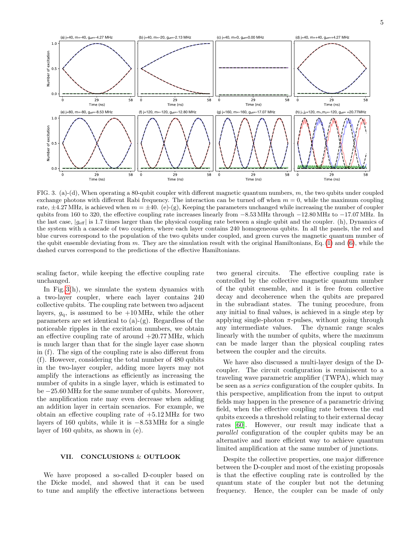

<span id="page-4-0"></span>FIG. 3. (a)-(d), When operating a 80-qubit coupler with different magnetic quantum numbers,  $m$ , the two qubits under coupled exchange photons with different Rabi frequency. The interaction can be turned off when  $m = 0$ , while the maximum coupling rate,  $\pm 4.27$  MHz, is achieved when  $m = \pm 40$ . (e)-(g), Keeping the parameters unchanged while increasing the number of coupler qubits from 160 to 320, the effective coupling rate increases linearly from −8.53 MHz through −12.80 MHz to −17.07 MHz. In the last case,  $|g_{\text{eff}}|$  is 1.7 times larger than the physical coupling rate between a single qubit and the coupler. (h), Dynamics of the system with a cascade of two couplers, where each layer contains 240 homogeneous qubits. In all the panels, the red and blue curves correspond to the population of the two qubits under coupled, and green curves the magnetic quantum number of the qubit ensemble deviating from  $m$ . They are the simulation result with the original Hamiltonians, Eq. [\(1\)](#page-1-1) and [\(6\)](#page-3-1), while the dashed curves correspond to the predictions of the effective Hamiltonians.

scaling factor, while keeping the effective coupling rate unchanged.

In Fig. [3\(](#page-4-0)h), we simulate the system dynamics with a two-layer coupler, where each layer contains 240 collective qubits. The coupling rate between two adjacent layers,  $g_{\alpha}$ , is assumed to be  $+10 \text{ MHz}$ , while the other parameters are set identical to (a)-(g). Regardless of the noticeable ripples in the excitation numbers, we obtain an effective coupling rate of around  $+20.77 \text{ MHz}$ , which is much larger than that for the single layer case shown in (f). The sign of the coupling rate is also different from (f). However, considering the total number of 480 qubits in the two-layer coupler, adding more layers may not amplify the interactions as efficiently as increasing the number of qubits in a single layer, which is estimated to be −25.60 MHz for the same number of qubits. Moreover, the amplification rate may even decrease when adding an addition layer in certain scenarios. For example, we obtain an effective coupling rate of  $+5.12 \text{ MHz}$  for two layers of 160 qubits, while it is −8.53 MHz for a single layer of 160 qubits, as shown in (e).

# VII. CONCLUSIONS & OUTLOOK

We have proposed a so-called D-coupler based on the Dicke model, and showed that it can be used to tune and amplify the effective interactions between two general circuits. The effective coupling rate is controlled by the collective magnetic quantum number of the qubit ensemble, and it is free from collective decay and decoherence when the qubits are prepared in the subradiant states. The tuning procedure, from any initial to final values, is achieved in a single step by applying single-photon  $\pi$ -pulses, without going through any intermediate values. The dynamic range scales linearly with the number of qubits, where the maximum can be made larger than the physical coupling rates between the coupler and the circuits.

We have also discussed a multi-layer design of the Dcoupler. The circuit configuration is reminiscent to a traveling wave parametric amplifier (TWPA), which may be seen as a series configuration of the coupler qubits. In this perspective, amplification from the input to output fields may happen in the presence of a parametric driving field, when the effective coupling rate between the end qubits exceeds a threshold relating to their external decay rates [\[60\]](#page-10-16). However, our result may indicate that a parallel configuration of the coupler qubits may be an alternative and more efficient way to achieve quantum limited amplification at the same number of junctions.

Despite the collective properties, one major difference between the D-coupler and most of the existing proposals is that the effective coupling rate is controlled by the quantum state of the coupler but not the detuning frequency. Hence, the coupler can be made of only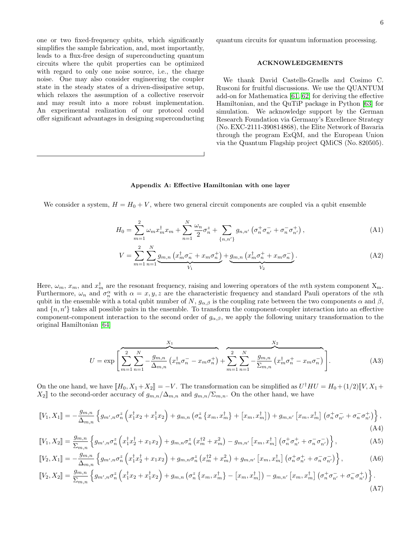one or two fixed-frequency qubits, which significantly simplifies the sample fabrication, and, most importantly, leads to a flux-free design of superconducting quantum circuits where the qubit properties can be optimized with regard to only one noise source, i.e., the charge noise. One may also consider engineering the coupler state in the steady states of a driven-dissipative setup, which relaxes the assumption of a collective reservoir and may result into a more robust implementation. An experimental realization of our protocol could offer significant advantages in designing superconducting quantum circuits for quantum information processing.

### ACKNOWLEDGEMENTS

We thank David Castells-Graells and Cosimo C. Rusconi for fruitful discussions. We use the QUANTUM add-on for Mathematica [\[61,](#page-10-17) [62\]](#page-10-18) for deriving the effective Hamiltonian, and the QuTiP package in Python [\[63\]](#page-10-19) for simulation. We acknowledge support by the German Research Foundation via Germany's Excellence Strategy (No. EXC-2111-390814868), the Elite Network of Bavaria through the program ExQM, and the European Union via the Quantum Flagship project QMiCS (No. 820505).

### <span id="page-5-0"></span>Appendix A: Effective Hamiltonian with one layer

We consider a system,  $H = H_0 + V$ , where two general circuit components are coupled via a qubit ensemble

$$
H_0 = \sum_{m=1}^2 \omega_m x_m^{\dagger} x_m + \sum_{n=1}^N \frac{\omega_n}{2} \sigma_n^z + \sum_{\{n,n'\}} g_{n,n'} \left( \sigma_n^+ \sigma_{n'}^- + \sigma_n^- \sigma_{n'}^+ \right), \tag{A1}
$$

$$
V = \sum_{m=1}^{2} \sum_{n=1}^{N} \underbrace{g_{m,n} \left( x_m^{\dagger} \sigma_n^{-} + x_m \sigma_n^{+} \right)}_{V_1} + \underbrace{g_{m,n} \left( x_m^{\dagger} \sigma_n^{+} + x_m \sigma_n^{-} \right)}_{V_2}.
$$
 (A2)

Here,  $\omega_m$ ,  $x_m$ , and  $x_m^{\dagger}$  are the resonant frequency, raising and lowering operators of the mth system component  $X_m$ . Furthermore,  $\omega_n$  and  $\sigma_n^{\alpha}$  with  $\alpha = x, y, z$  are the characteristic frequency and standard Pauli operators of the *n*th qubit in the ensemble with a total qubit number of N,  $g_{\alpha,\beta}$  is the coupling rate between the two components  $\alpha$  and  $\beta$ , and  $\{n, n'\}$  takes all possible pairs in the ensemble. To transform the component-coupler interaction into an effective component-component interaction to the second order of  $g_{\alpha,\beta}$ , we apply the following unitary transformation to the original Hamiltonian [\[64\]](#page-10-20)

$$
U = \exp\left[\sum_{m=1}^{2} \sum_{n=1}^{N} -\frac{g_{m,n}}{\Delta_{m,n}} \left(x_m^{\dagger} \sigma_n^{-} - x_m \sigma_n^{+}\right) + \sum_{m=1}^{2} \sum_{n=1}^{N} -\frac{g_{m,n}}{\Sigma_{m,n}} \left(x_m^{\dagger} \sigma_n^{+} - x_m \sigma_n^{-}\right)\right].
$$
 (A3)

On the one hand, we have  $[[H_0, X_1 + X_2]] = -V$ . The transformation can be simplified as  $U^{\dagger}HU = H_0 + (1/2)[V, X_1 + V_0]$  to the second order accuracy of  $a \neq \Delta$  and  $a \neq \Sigma$ . On the other hand, we have  $X_2$  to the second-order accuracy of  $g_{m,n}/\Delta_{m,n}$  and  $g_{m,n}/\Sigma_{m,n}$ . On the other hand, we have

$$
\llbracket V_1, X_1 \rrbracket = -\frac{g_{m,n}}{\Delta_{m,n}} \left\{ g_{m',n} \sigma_n^z \left( x_1^\dagger x_2 + x_1^\dagger x_2 \right) + g_{m,n} \left( \sigma_n^z \left\{ x_m, x_m^\dagger \right\} + \left[ x_m, x_m^\dagger \right] \right) + g_{m,n'} \left[ x_m, x_m^\dagger \right] \left( \sigma_n^+ \sigma_{n'}^- + \sigma_n^- \sigma_{n'}^+ \right) \right\},
$$
\n(A4)

$$
\llbracket V_1, X_2 \rrbracket = \frac{g_{m,n}}{\sum_{m,n}} \left\{ g_{m',n} \sigma_n^z \left( x_1^\dagger x_2^\dagger + x_1 x_2 \right) + g_{m,n} \sigma_n^z \left( x_m^{\dagger 2} + x_m^2 \right) - g_{m,n'} \left[ x_m, x_m^\dagger \right] \left( \sigma_n^+ \sigma_{n'}^+ + \sigma_n^- \sigma_{n'}^- \right) \right\},\tag{A5}
$$

$$
\llbracket V_2, X_1 \rrbracket = -\frac{g_{m,n}}{\Delta_{m,n}} \left\{ g_{m',n} \sigma_n^z \left( x_1^\dagger x_2^\dagger + x_1 x_2 \right) + g_{m,n} \sigma_n^z \left( x_m^{\dagger 2} + x_m^2 \right) + g_{m,n'} \left[ x_m, x_m^\dagger \right] \left( \sigma_n^+ \sigma_{n'}^+ + \sigma_n^- \sigma_{n'}^- \right) \right\},\tag{A6}
$$

$$
\llbracket V_2, X_2 \rrbracket = \frac{g_{m,n}}{\Sigma_{m,n}} \left\{ g_{m',n} \sigma_n^z \left( x_1^\dagger x_2 + x_1^\dagger x_2 \right) + g_{m,n} \left( \sigma_n^z \left\{ x_m, x_m^\dagger \right\} - \left[ x_m, x_m^\dagger \right] \right) - g_{m,n'} \left[ x_m, x_m^\dagger \right] \left( \sigma_n^+ \sigma_{n'}^- + \sigma_n^- \sigma_{n'}^+ \right) \right\}.
$$
\n(A7)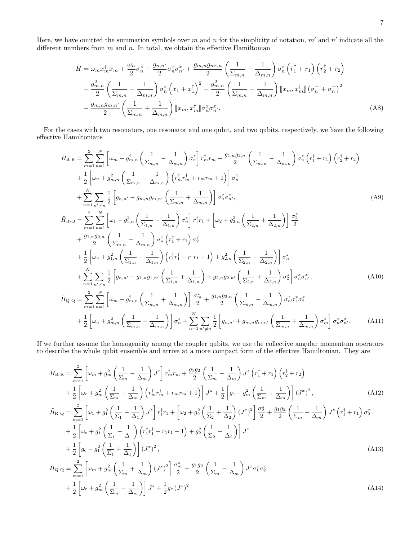$$
\tilde{H} = \omega_m x_m^{\dagger} x_m + \frac{\omega_n}{2} \sigma_n^z + \frac{g_{n,n'}}{2} \sigma_n^x \sigma_{n'}^x + \frac{g_{m,n} g_{m',n}}{2} \left( \frac{1}{\Sigma_{m,n}} - \frac{1}{\Delta_{m,n}} \right) \sigma_n^z \left( r_1^{\dagger} + r_1 \right) \left( r_2^{\dagger} + r_2 \right) \n+ \frac{g_{m,n}^2}{2} \left( \frac{1}{\Sigma_{m,n}} - \frac{1}{\Delta_{m,n}} \right) \sigma_n^z \left( x_1 + x_1^{\dagger} \right)^2 - \frac{g_{m,n}^2}{2} \left( \frac{1}{\Sigma_{m,n}} + \frac{1}{\Delta_{m,n}} \right) \left[ x_m, x_m^{\dagger} \right] \left( \sigma_n^- + \sigma_n^+ \right)^2 \n- \frac{g_{m,n} g_{m,n'}}{2} \left( \frac{1}{\Sigma_{m,n}} + \frac{1}{\Delta_{m,n}} \right) \left[ x_m, x_m^{\dagger} \right] \sigma_n^x \sigma_{n'}^x.
$$
\n(A8)

For the cases with two resonators, one resonator and one qubit, and two qubits, respectively, we have the following effective Hamiltonians

$$
\tilde{H}_{\text{R-R}} = \sum_{m=1}^{2} \sum_{n=1}^{N} \left[ \omega_{m} + g_{m,n}^{2} \left( \frac{1}{\Sigma_{m,n}} - \frac{1}{\Delta_{m,n}} \right) \sigma_{n}^{z} \right] r_{m}^{+} r_{m} + \frac{g_{1,n} g_{2,n}}{2} \left( \frac{1}{\Sigma_{m,n}} - \frac{1}{\Delta_{m,n}} \right) \sigma_{n}^{z} \left( r_{1}^{+} + r_{1} \right) \left( r_{2}^{+} + r_{2} \right) \n+ \frac{1}{2} \left[ \omega_{n} + g_{m,n}^{2} \left( \frac{1}{\Sigma_{m,n}} - \frac{1}{\Delta_{m,n}} \right) \left( r_{m}^{+} r_{m}^{+} + r_{m} r_{m} + 1 \right) \right] \sigma_{n}^{z} \n+ \sum_{n=1}^{N} \sum_{n' \neq n} \frac{1}{2} \left[ g_{n,n'} - g_{m,n} g_{m,n'} \left( \frac{1}{\Sigma_{m,n}} + \frac{1}{\Delta_{m,n}} \right) \right] \sigma_{n}^{z} \sigma_{n'}^{x},
$$
\n(A9)  
\n
$$
\tilde{H}_{\text{R-Q}} = \sum_{m=1}^{2} \sum_{n=1}^{N} \left[ \omega_{1} + g_{1,n}^{2} \left( \frac{1}{\Sigma_{1,n}} - \frac{1}{\Delta_{1,n}} \right) \sigma_{n}^{z} \right] r_{1}^{+} r_{1} + \left[ \omega_{2} + g_{2,n}^{2} \left( \frac{1}{\Sigma_{2,n}} + \frac{1}{\Delta_{2,n}} \right) \right] \frac{\sigma_{2}^{z}}{2} \n+ \frac{g_{1,n} g_{2,n}}{2} \left( \frac{1}{\Sigma_{m,n}} - \frac{1}{\Delta_{m,n}} \right) \sigma_{n}^{z} \left( r_{1}^{+} + r_{1} \right) + g_{2,n}^{2} \left( \frac{1}{\Sigma_{2,n}} - \frac{1}{\Delta_{2,n}} \right) \right] \sigma_{n}^{z} \n+ \frac{1}{2} \left[ \omega_{n} + g_{1,n}^{2} \left( \frac{1}{\Sigma_{1,n}} - \frac{1}{\Delta_{1,n}} \right) \left( r_{1}
$$

If we further assume the homogeneity among the coupler qubits, we use the collective angular momentum operators to describe the whole qubit ensemble and arrive at a more compact form of the effective Hamiltonian. They are

$$
\tilde{H}_{R-R} = \sum_{m=1}^{2} \left[ \omega_m + g_m^2 \left( \frac{1}{\Sigma_m} - \frac{1}{\Delta_m} \right) J^z \right] r_m^{\dagger} r_m + \frac{g_1 g_2}{2} \left( \frac{1}{\Sigma_m} - \frac{1}{\Delta_m} \right) J^z \left( r_1^{\dagger} + r_1 \right) \left( r_2^{\dagger} + r_2 \right) \n+ \frac{1}{2} \left[ \omega_c + g_m^2 \left( \frac{1}{\Sigma_m} - \frac{1}{\Delta_m} \right) \left( r_m^{\dagger} r_m^{\dagger} + r_m r_m + 1 \right) \right] J^z + \frac{1}{2} \left[ g_c - g_m^2 \left( \frac{1}{\Sigma_m} + \frac{1}{\Delta_m} \right) \right] (J^x)^2 ,
$$
\n
$$
\tilde{H}_{R-Q} = \sum_{m=1}^{2} \left[ \omega_1 + g_1^2 \left( \frac{1}{\Sigma_1} - \frac{1}{\Delta_1} \right) J^z \right] r_1^{\dagger} r_1 + \left[ \omega_2 + g_2^2 \left( \frac{1}{\Sigma_2} + \frac{1}{\Delta_2} \right) (J^x)^2 \right] \frac{\sigma_2^z}{2} + \frac{g_1 g_2}{2} \left( \frac{1}{\Sigma_m} - \frac{1}{\Delta_m} \right) J^z \left( r_1^{\dagger} + r_1 \right) \sigma_2^x \n+ \frac{1}{2} \left[ \omega_c + g_1^2 \left( \frac{1}{\Sigma_1} - \frac{1}{\Delta_1} \right) \left( r_1^{\dagger} r_1^{\dagger} + r_1 r_1 + 1 \right) + g_2^2 \left( \frac{1}{\Sigma_2} - \frac{1}{\Delta_2} \right) \right] J^z \n+ \frac{1}{2} \left[ g_c - g_1^2 \left( \frac{1}{\Sigma_1} + \frac{1}{\Delta_1} \right) \right] (J^x)^2 ,
$$
\n
$$
\tilde{H}_{Q-Q} = \sum_{m=1}^{2} \left[ \omega_m + g_m^2 \left( \frac{1}{\Sigma_1} + \frac{1}{\Delta_1} \right) (J^x)^2 \right] \frac{\sigma_m^z
$$

$$
H_{\mathbf{Q}\text{-}\mathbf{Q}} = \sum_{m=1}^{\infty} \left[ \omega_m + g_m^2 \left( \frac{1}{\Sigma_m} + \frac{1}{\Delta_m} \right) (J^x)^2 \right] \frac{\omega_m}{2} + \frac{9192}{2} \left( \frac{1}{\Sigma_m} - \frac{1}{\Delta_m} \right) J^z \sigma_1^x \sigma_2^x
$$
  
+ 
$$
\frac{1}{2} \left[ \omega_c + g_m^2 \left( \frac{1}{\Sigma_m} - \frac{1}{\Delta_m} \right) \right] J^z + \frac{1}{2} g_c (J^x)^2.
$$
 (A14)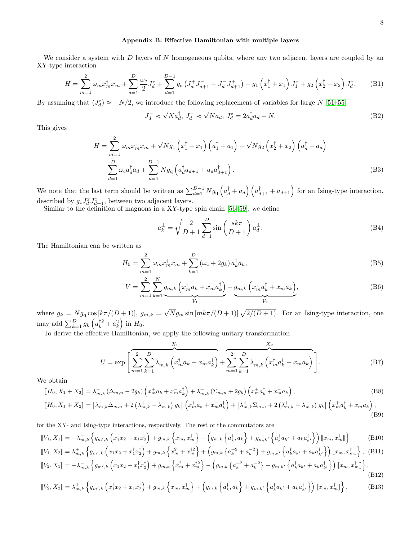## <span id="page-7-0"></span>Appendix B: Effective Hamiltonian with multiple layers

We consider a system with  $D$  layers of  $N$  homogeneous qubits, where any two adjacent layers are coupled by an XY-type interaction

$$
H = \sum_{m=1}^{2} \omega_m x_m^{\dagger} x_m + \sum_{d=1}^{D} \frac{\omega_c}{2} J_d^z + \sum_{d=1}^{D-1} g_c \left( J_d^+ J_{d+1}^- + J_d^- J_{d+1}^+ \right) + g_1 \left( x_1^{\dagger} + x_1 \right) J_1^x + g_2 \left( x_2^{\dagger} + x_2 \right) J_d^x. \tag{B1}
$$

By assuming that  $\langle J_d^z \rangle \approx -N/2$ , we introduce the following replacement of variables for large N [\[51–](#page-10-12)[55\]](#page-10-13)

$$
J_d^+ \approx \sqrt{N} a_d^{\dagger}, J_d^- \approx \sqrt{N} a_d, J_d^z = 2 a_d^{\dagger} a_d - N.
$$
 (B2)

This gives

$$
H = \sum_{m=1}^{2} \omega_m x_m^{\dagger} x_m + \sqrt{N} g_1 \left( x_1^{\dagger} + x_1 \right) \left( a_1^{\dagger} + a_1 \right) + \sqrt{N} g_2 \left( x_2^{\dagger} + x_2 \right) \left( a_d^{\dagger} + a_d \right) + \sum_{d=1}^{D} \omega_c a_d^{\dagger} a_d + \sum_{d=1}^{D-1} N g_1 \left( a_d^{\dagger} a_{d+1} + a_d a_{d+1}^{\dagger} \right).
$$
 (B3)

We note that the last term should be written as  $\sum_{d=1}^{D-1} Ng_q \left( a_d^{\dagger} + a_d \right) \left( a_{d+1}^{\dagger} + a_{d+1} \right)$  for an Ising-type interaction, described by  $g_c J_d^x J_{d+1}^x$ , between two adjacent layers.

Similar to the definition of magnons in a XY-type spin chain [\[56–](#page-10-14)[59\]](#page-10-15), we define

$$
a_k^{\pm} = \sqrt{\frac{2}{D+1}} \sum_{d=1}^{D} \sin\left(\frac{sk\pi}{D+1}\right) a_d^{\pm}.
$$
 (B4)

The Hamiltonian can be written as

$$
H_0 = \sum_{m=1}^{2} \omega_m x_m^{\dagger} x_m + \sum_{k=1}^{D} (\omega_c + 2g_k) a_k^{\dagger} a_k,
$$
 (B5)

$$
V = \sum_{m=1}^{2} \sum_{k=1}^{N} \underbrace{g_{m,k} \left( x_m^{\dagger} a_k + x_m a_k^{\dagger} \right)}_{V_1} + \underbrace{g_{m,k} \left( x_m^{\dagger} a_k^{\dagger} + x_m a_k \right)}_{V_2},
$$
 (B6)

where  $g_k = Ng_q \cos[k\pi/(D+1)], g_{m,k} =$  $\sqrt{N}g_m \sin\left[mk\pi/(D+1)\right]\sqrt{2/(D+1)}$ . For an Ising-type interaction, one may add  $\sum_{k=1}^{D} g_k \left( a_k^{\dagger 2} + a_k^2 \right)$  in  $H_0$ .

To derive the effective Hamiltonian, we apply the following unitary transformation

$$
U = \exp\left[\sum_{m=1}^{2} \sum_{k=1}^{D} \lambda_{m,k}^{-} \left(x_{m}^{\dagger} a_{k} - x_{m} a_{k}^{\dagger}\right) + \sum_{m=1}^{2} \sum_{k=1}^{D} \lambda_{m,k}^{+} \left(x_{m}^{\dagger} a_{k}^{\dagger} - x_{m} a_{k}\right)\right].
$$
 (B7)

We obtain

$$
\llbracket H_0, X_1 + X_2 \rrbracket = \lambda_{m,k}^- \left( \Delta_{m,n} - 2g_k \right) \left( x_m^+ a_k + x_m^- a_k^+ \right) + \lambda_{m,k}^+ \left( \Sigma_{m,n} + 2g_k \right) \left( x_m^+ a_k^+ + x_m^- a_k \right),\tag{B8}
$$

$$
\llbracket H_0, X_1 + X_2 \rrbracket = \left[ \lambda_{m,k}^- \Delta_{m,n} + 2 \left( \lambda_{m,k}^+ - \lambda_{m,k}^- \right) g_k \right] \left( x_m^+ a_k + x_m^- a_k^+ \right) + \left[ \lambda_{m,k}^+ \Sigma_{m,n} + 2 \left( \lambda_{m,k}^+ - \lambda_{m,k}^- \right) g_k \right] \left( x_m^+ a_k^+ + x_m^- a_k \right), \tag{B9}
$$

for the XY- and Ising-type interactions, respectively. The rest of the commutators are

$$
\llbracket V_1, X_1 \rrbracket = -\lambda_{m,k}^- \left\{ g_{m',k} \left( x_1^\dagger x_2 + x_1 x_2^\dagger \right) + g_{m,k} \left\{ x_m, x_m^\dagger \right\} - \left( g_{m,k} \left\{ a_k^\dagger, a_k \right\} + g_{m,k'} \left\{ a_k^\dagger a_{k'} + a_k a_{k'}^\dagger \right\} \right) \llbracket x_m, x_m^\dagger \rrbracket \right\} \tag{B10}
$$

$$
\begin{aligned}\n\llbracket V_1, X_2 \rrbracket &= \lambda_{m,k}^+ \left\{ g_{m',k} \left( x_1 x_2 + x_1^{\dagger} x_2^{\dagger} \right) + g_{m,k} \left\{ x_m^2 + x_m^{\dagger 2} \right\} + \left( g_{m,k} \left\{ a_k^{\dagger 2} + a_k^{-2} \right\} + g_{m,k'} \left\{ a_k^{\dagger} a_{k'} + a_k a_{k'}^{\dagger} \right\} \right) \llbracket x_m, x_m^{\dagger} \rrbracket \right\}, \quad \text{(B11)} \\
\llbracket V_2, X_1 \rrbracket &= -\lambda_{m,k}^- \left\{ g_{m',k} \left( x_1 x_2 + x_1^{\dagger} x_2^{\dagger} \right) + g_{m,k} \left\{ x_m^2 + x_m^{\dagger 2} \right\} - \left( g_{m,k} \left\{ a_k^{\dagger 2} + a_k^{-2} \right\} + g_{m,k'} \left\{ a_k^{\dagger} a_{k'} + a_k a_{k'}^{\dagger} \right\} \right) \llbracket x_m, x_m^{\dagger} \rrbracket \right\},\n\end{aligned}
$$

$$
\Psi_{2}, \Lambda_{1\parallel} = -\Lambda_{m,k} \left\{ g_{m',k} \left( x_{1} x_{2} + x_{1} x_{2} \right) + g_{m,k} \left( x_{m} + x_{m} \right) - \left( g_{m,k} \left( u_{k} + u_{k} \right) + g_{m,k'} \left( u_{k} u_{k'} + u_{k} u_{k'} \right) \right) \left[ x_{m}, x_{m} \right] \right\},
$$
\n(B12)

$$
\llbracket V_2, X_2 \rrbracket = \lambda_{m,k}^+ \left\{ g_{m',k} \left( x_1^\dagger x_2 + x_1 x_2^\dagger \right) + g_{m,k} \left\{ x_m, x_m^\dagger \right\} + \left( g_{m,k} \left\{ a_k^\dagger, a_k \right\} + g_{m,k'} \left\{ a_k^\dagger a_{k'} + a_k a_{k'}^\dagger \right\} \right) \llbracket x_m, x_m^\dagger \rrbracket \right\}.
$$
 (B13)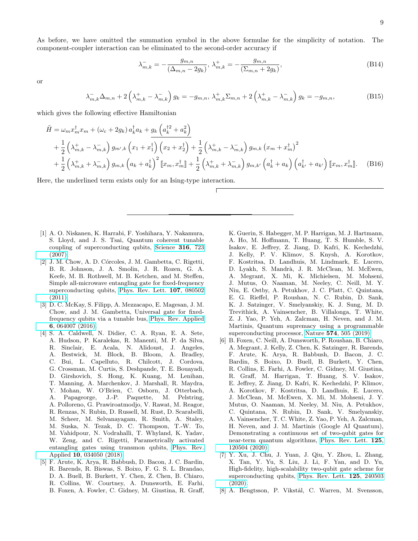As before, we have omitted the summation symbol in the above formulae for the simplicity of notation. The component-coupler interaction can be eliminated to the second-order accuracy if

$$
\lambda_{m,k}^- = -\frac{g_{m,n}}{(\Delta_{m,n} - 2g_k)}, \lambda_{m,k}^+ = -\frac{g_{m,n}}{(\Sigma_{m,n} + 2g_k)},
$$
\n(B14)

or

$$
\lambda_{m,k}^{-} \Delta_{m,n} + 2 \left( \lambda_{m,k}^{+} - \lambda_{m,k}^{-} \right) g_k = -g_{m,n}, \ \lambda_{m,k}^{+} \Sigma_{m,n} + 2 \left( \lambda_{m,k}^{+} - \lambda_{m,k}^{-} \right) g_k = -g_{m,n}, \tag{B15}
$$

which gives the following effective Hamiltonian

$$
\tilde{H} = \omega_m x_m^{\dagger} x_m + (\omega_c + 2g_k) a_k^{\dagger} a_k + g_k \left( a_k^{\dagger 2} + a_k^2 \right) \n+ \frac{1}{2} \left( \lambda_{m,k}^+ - \lambda_{m,k}^- \right) g_{m',k} \left( x_1 + x_1^{\dagger} \right) \left( x_2 + x_2^{\dagger} \right) + \frac{1}{2} \left( \lambda_{m,k}^+ - \lambda_{m,k}^- \right) g_{m,k} \left( x_m + x_m^{\dagger} \right)^2 \n+ \frac{1}{2} \left( \lambda_{m,k}^+ + \lambda_{m,k}^- \right) g_{m,k} \left( a_k + a_k^{\dagger} \right)^2 \left[ x_m, x_m^{\dagger} \right] + \frac{1}{2} \left( \lambda_{m,k}^+ + \lambda_{m,k}^- \right) g_{m,k'} \left( a_k^{\dagger} + a_k \right) \left( a_k^{\dagger} + a_{k'} \right) \left[ x_m, x_m^{\dagger} \right].
$$
\n(B16)

Here, the underlined term exists only for an Ising-type interaction.

- <span id="page-8-0"></span>[1] A. O. Niskanen, K. Harrabi, F. Yoshihara, Y. Nakamura, S. Lloyd, and J. S. Tsai, Quantum coherent tunable coupling of superconducting qubits, [Science](https://doi.org/10.1126/science.1141324) 316, 723 [\(2007\).](https://doi.org/10.1126/science.1141324)
- [2] J. M. Chow, A. D. Córcoles, J. M. Gambetta, C. Rigetti, B. R. Johnson, J. A. Smolin, J. R. Rozen, G. A. Keefe, M. B. Rothwell, M. B. Ketchen, and M. Steffen, Simple all-microwave entangling gate for fixed-frequency superconducting qubits, [Phys. Rev. Lett.](https://doi.org/10.1103/PhysRevLett.107.080502) 107, 080502 [\(2011\).](https://doi.org/10.1103/PhysRevLett.107.080502)
- [3] D. C. McKay, S. Filipp, A. Mezzacapo, E. Magesan, J. M. Chow, and J. M. Gambetta, Universal gate for fixedfrequency qubits via a tunable bus, [Phys. Rev. Applied](https://doi.org/10.1103/PhysRevApplied.6.064007) 6[, 064007 \(2016\).](https://doi.org/10.1103/PhysRevApplied.6.064007)
- [4] S. A. Caldwell, N. Didier, C. A. Ryan, E. A. Sete, A. Hudson, P. Karalekas, R. Manenti, M. P. da Silva, R. Sinclair, E. Acala, N. Alidoust, J. Angeles, A. Bestwick, M. Block, B. Bloom, A. Bradley, C. Bui, L. Capelluto, R. Chilcott, J. Cordova, G. Crossman, M. Curtis, S. Deshpande, T. E. Bouayadi, D. Girshovich, S. Hong, K. Kuang, M. Lenihan, T. Manning, A. Marchenkov, J. Marshall, R. Maydra, Y. Mohan, W. O'Brien, C. Osborn, J. Otterbach, A. Papageorge, J.-P. Paquette, M. Pelstring, A. Polloreno, G. Prawiroatmodjo, V. Rawat, M. Reagor, R. Renzas, N. Rubin, D. Russell, M. Rust, D. Scarabelli, M. Scheer, M. Selvanayagam, R. Smith, A. Staley, M. Suska, N. Tezak, D. C. Thompson, T.-W. To, M. Vahidpour, N. Vodrahalli, T. Whyland, K. Yadav, W. Zeng, and C. Rigetti, Parametrically activated entangling gates using transmon qubits, [Phys. Rev.](https://doi.org/10.1103/PhysRevApplied.10.034050) Applied 10[, 034050 \(2018\).](https://doi.org/10.1103/PhysRevApplied.10.034050)
- [5] F. Arute, K. Arya, R. Babbush, D. Bacon, J. C. Bardin, R. Barends, R. Biswas, S. Boixo, F. G. S. L. Brandao, D. A. Buell, B. Burkett, Y. Chen, Z. Chen, B. Chiaro, R. Collins, W. Courtney, A. Dunsworth, E. Farhi, B. Foxen, A. Fowler, C. Gidney, M. Giustina, R. Graff,

K. Guerin, S. Habegger, M. P. Harrigan, M. J. Hartmann, A. Ho, M. Hoffmann, T. Huang, T. S. Humble, S. V. Isakov, E. Jeffrey, Z. Jiang, D. Kafri, K. Kechedzhi, J. Kelly, P. V. Klimov, S. Knysh, A. Korotkov, F. Kostritsa, D. Landhuis, M. Lindmark, E. Lucero, D. Lyakh, S. Mandrà, J. R. McClean, M. McEwen, A. Megrant, X. Mi, K. Michielsen, M. Mohseni, J. Mutus, O. Naaman, M. Neeley, C. Neill, M. Y. Niu, E. Ostby, A. Petukhov, J. C. Platt, C. Quintana, E. G. Rieffel, P. Roushan, N. C. Rubin, D. Sank, K. J. Satzinger, V. Smelyanskiy, K. J. Sung, M. D. Trevithick, A. Vainsencher, B. Villalonga, T. White, Z. J. Yao, P. Yeh, A. Zalcman, H. Neven, and J. M. Martinis, Quantum supremacy using a programmable superconducting processor, Nature 574[, 505 \(2019\).](https://doi.org/10.1038/s41586-019-1666-5)

- [6] B. Foxen, C. Neill, A. Dunsworth, P. Roushan, B. Chiaro, A. Megrant, J. Kelly, Z. Chen, K. Satzinger, R. Barends, F. Arute, K. Arya, R. Babbush, D. Bacon, J. C. Bardin, S. Boixo, D. Buell, B. Burkett, Y. Chen, R. Collins, E. Farhi, A. Fowler, C. Gidney, M. Giustina, R. Graff, M. Harrigan, T. Huang, S. V. Isakov, E. Jeffrey, Z. Jiang, D. Kafri, K. Kechedzhi, P. Klimov, A. Korotkov, F. Kostritsa, D. Landhuis, E. Lucero, J. McClean, M. McEwen, X. Mi, M. Mohseni, J. Y. Mutus, O. Naaman, M. Neeley, M. Niu, A. Petukhov, C. Quintana, N. Rubin, D. Sank, V. Smelyanskiy, A. Vainsencher, T. C. White, Z. Yao, P. Yeh, A. Zalcman, H. Neven, and J. M. Martinis (Google AI Quantum), Demonstrating a continuous set of two-qubit gates for near-term quantum algorithms, [Phys. Rev. Lett.](https://doi.org/10.1103/PhysRevLett.125.120504) 125, [120504 \(2020\).](https://doi.org/10.1103/PhysRevLett.125.120504)
- [7] Y. Xu, J. Chu, J. Yuan, J. Qiu, Y. Zhou, L. Zhang, X. Tan, Y. Yu, S. Liu, J. Li, F. Yan, and D. Yu, High-fidelity, high-scalability two-qubit gate scheme for superconducting qubits, [Phys. Rev. Lett.](https://doi.org/10.1103/PhysRevLett.125.240503) 125, 240503 [\(2020\).](https://doi.org/10.1103/PhysRevLett.125.240503)
- [8] A. Bengtsson, P. Vikstål, C. Warren, M. Svensson,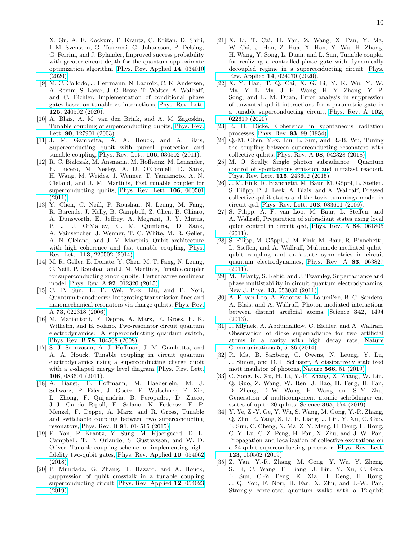X. Gu, A. F. Kockum, P. Krantz, C. Križan, D. Shiri, I.-M. Svensson, G. Tancredi, G. Johansson, P. Delsing, G. Ferrini, and J. Bylander, Improved success probability with greater circuit depth for the quantum approximate optimization algorithm, [Phys. Rev. Applied](https://doi.org/10.1103/PhysRevApplied.14.034010) 14, 034010 [\(2020\).](https://doi.org/10.1103/PhysRevApplied.14.034010)

- <span id="page-9-0"></span>[9] M. C. Collodo, J. Herrmann, N. Lacroix, C. K. Andersen, A. Remm, S. Lazar, J.-C. Besse, T. Walter, A. Wallraff, and C. Eichler, Implementation of conditional phase gates based on tunable zz interactions, [Phys. Rev. Lett.](https://doi.org/10.1103/PhysRevLett.125.240502) 125[, 240502 \(2020\).](https://doi.org/10.1103/PhysRevLett.125.240502)
- <span id="page-9-1"></span>[10] A. Blais, A. M. van den Brink, and A. M. Zagoskin, Tunable coupling of superconducting qubits, [Phys. Rev.](https://doi.org/10.1103/PhysRevLett.90.127901) Lett. 90[, 127901 \(2003\).](https://doi.org/10.1103/PhysRevLett.90.127901)
- [11] J. M. Gambetta, A. A. Houck, and A. Blais, Superconducting qubit with purcell protection and tunable coupling, [Phys. Rev. Lett.](https://doi.org/10.1103/PhysRevLett.106.030502) 106, 030502 (2011).
- [12] R. C. Bialczak, M. Ansmann, M. Hofheinz, M. Lenander, E. Lucero, M. Neeley, A. D. O'Connell, D. Sank, H. Wang, M. Weides, J. Wenner, T. Yamamoto, A. N. Cleland, and J. M. Martinis, Fast tunable coupler for superconducting qubits, [Phys. Rev. Lett.](https://doi.org/10.1103/PhysRevLett.106.060501) 106, 060501 [\(2011\).](https://doi.org/10.1103/PhysRevLett.106.060501)
- [13] Y. Chen, C. Neill, P. Roushan, N. Leung, M. Fang, R. Barends, J. Kelly, B. Campbell, Z. Chen, B. Chiaro, A. Dunsworth, E. Jeffrey, A. Megrant, J. Y. Mutus, P. J. J. O'Malley, C. M. Quintana, D. Sank, A. Vainsencher, J. Wenner, T. C. White, M. R. Geller, A. N. Cleland, and J. M. Martinis, Qubit architecture with high coherence and fast tunable coupling, [Phys.](https://doi.org/10.1103/PhysRevLett.113.220502) Rev. Lett. 113[, 220502 \(2014\).](https://doi.org/10.1103/PhysRevLett.113.220502)
- <span id="page-9-2"></span>[14] M. R. Geller, E. Donate, Y. Chen, M. T. Fang, N. Leung, C. Neill, P. Roushan, and J. M. Martinis, Tunable coupler for superconducting xmon qubits: Perturbative nonlinear model, Phys. Rev. A 92[, 012320 \(2015\).](https://doi.org/10.1103/PhysRevA.92.012320)
- <span id="page-9-3"></span>[15] C. P. Sun, L. F. Wei, Y.-x. Liu, and F. Nori, Quantum transducers: Integrating transmission lines and nanomechanical resonators via charge qubits, [Phys. Rev.](https://doi.org/10.1103/PhysRevA.73.022318) A 73[, 022318 \(2006\).](https://doi.org/10.1103/PhysRevA.73.022318)
- <span id="page-9-6"></span>[16] M. Mariantoni, F. Deppe, A. Marx, R. Gross, F. K. Wilhelm, and E. Solano, Two-resonator circuit quantum electrodynamics: A superconducting quantum switch, Phys. Rev. B 78[, 104508 \(2008\).](https://doi.org/10.1103/PhysRevB.78.104508)
- [17] S. J. Srinivasan, A. J. Hoffman, J. M. Gambetta, and A. A. Houck, Tunable coupling in circuit quantum electrodynamics using a superconducting charge qubit with a v-shaped energy level diagram, [Phys. Rev. Lett.](https://doi.org/10.1103/PhysRevLett.106.083601) 106[, 083601 \(2011\).](https://doi.org/10.1103/PhysRevLett.106.083601)
- <span id="page-9-7"></span>[18] A. Baust, E. Hoffmann, M. Haeberlein, M. J. Schwarz, P. Eder, J. Goetz, F. Wulschner, E. Xie, L. Zhong, F. Quijandría, B. Peropadre, D. Zueco, J.-J. García Ripoll, E. Solano, K. Fedorov, E. P. Menzel, F. Deppe, A. Marx, and R. Gross, Tunable and switchable coupling between two superconducting resonators, Phys. Rev. B 91[, 014515 \(2015\).](https://doi.org/10.1103/PhysRevB.91.014515)
- [19] F. Yan, P. Krantz, Y. Sung, M. Kjaergaard, D. L. Campbell, T. P. Orlando, S. Gustavsson, and W. D. Oliver, Tunable coupling scheme for implementing highfidelity two-qubit gates, [Phys. Rev. Applied](https://doi.org/10.1103/PhysRevApplied.10.054062) 10, 054062 [\(2018\).](https://doi.org/10.1103/PhysRevApplied.10.054062)
- [20] P. Mundada, G. Zhang, T. Hazard, and A. Houck, Suppression of qubit crosstalk in a tunable coupling superconducting circuit, [Phys. Rev. Applied](https://doi.org/10.1103/PhysRevApplied.12.054023) 12, 054023 [\(2019\).](https://doi.org/10.1103/PhysRevApplied.12.054023)
- [21] X. Li, T. Cai, H. Yan, Z. Wang, X. Pan, Y. Ma, W. Cai, J. Han, Z. Hua, X. Han, Y. Wu, H. Zhang, H. Wang, Y. Song, L. Duan, and L. Sun, Tunable coupler for realizing a controlled-phase gate with dynamically decoupled regime in a superconducting circuit, [Phys.](https://doi.org/10.1103/PhysRevApplied.14.024070) Rev. Applied 14[, 024070 \(2020\).](https://doi.org/10.1103/PhysRevApplied.14.024070)
- <span id="page-9-4"></span>[22] X. Y. Han, T. Q. Cai, X. G. Li, Y. K. Wu, Y. W. Ma, Y. L. Ma, J. H. Wang, H. Y. Zhang, Y. P. Song, and L. M. Duan, Error analysis in suppression of unwanted qubit interactions for a parametric gate in a tunable superconducting circuit, [Phys. Rev. A](https://doi.org/10.1103/PhysRevA.102.022619) 102, [022619 \(2020\).](https://doi.org/10.1103/PhysRevA.102.022619)
- <span id="page-9-5"></span>[23] R. H. Dicke, Coherence in spontaneous radiation processes, Phys. Rev. 93[, 99 \(1954\).](https://doi.org/10.1103/PhysRev.93.99)
- <span id="page-9-8"></span>[24] Q.-M. Chen, Y.-x. Liu, L. Sun, and R.-B. Wu, Tuning the coupling between superconducting resonators with collective qubits, Phys. Rev. A 98[, 042328 \(2018\).](https://doi.org/10.1103/PhysRevA.98.042328)
- <span id="page-9-9"></span>[25] M. O. Scully, Single photon subradiance: Quantum control of spontaneous emission and ultrafast readout, [Phys. Rev. Lett.](https://doi.org/10.1103/PhysRevLett.115.243602) 115, 243602 (2015).
- <span id="page-9-10"></span>[26] J. M. Fink, R. Bianchetti, M. Baur, M. Göppl, L. Steffen, S. Filipp, P. J. Leek, A. Blais, and A. Wallraff, Dressed collective qubit states and the tavis-cummings model in circuit qed, [Phys. Rev. Lett.](https://doi.org/10.1103/PhysRevLett.103.083601) 103, 083601 (2009).
- [27] S. Filipp, A. F. van Loo, M. Baur, L. Steffen, and A. Wallraff, Preparation of subradiant states using local qubit control in circuit qed, [Phys. Rev. A](https://doi.org/10.1103/PhysRevA.84.061805) 84, 061805 [\(2011\).](https://doi.org/10.1103/PhysRevA.84.061805)
- [28] S. Filipp, M. Göppl, J. M. Fink, M. Baur, R. Bianchetti, L. Steffen, and A. Wallraff, Multimode mediated qubitqubit coupling and dark-state symmetries in circuit quantum electrodynamics, [Phys. Rev. A](https://doi.org/10.1103/PhysRevA.83.063827) 83, 063827  $(2011)$ .
- [29] M. Delanty, S. Rebić, and J. Twamley, Superradiance and phase multistability in circuit quantum electrodynamics, New J. Phys. 13[, 053032 \(2011\).](http://stacks.iop.org/1367-2630/13/i=5/a=053032)
- [30] A. F. van Loo, A. Fedorov, K. Lalumière, B. C. Sanders, A. Blais, and A. Wallraff, Photon-mediated interactions between distant artificial atoms, [Science](https://doi.org/10.1126/science.1244324) 342, 1494 [\(2013\).](https://doi.org/10.1126/science.1244324)
- [31] J. Mlynek, A. Abdumalikov, C. Eichler, and A. Wallraff, Observation of dicke superradiance for two artificial atoms in a cavity with high decay rate, [Nature](https://doi.org/10.1038/ncomms6186) [Communications](https://doi.org/10.1038/ncomms6186) 5, 5186 (2014).
- [32] R. Ma, B. Saxberg, C. Owens, N. Leung, Y. Lu, J. Simon, and D. I. Schuster, A dissipatively stabilized mott insulator of photons, Nature 566[, 51 \(2019\).](https://doi.org/10.1038/s41586-019-0897-9)
- [33] C. Song, K. Xu, H. Li, Y.-R. Zhang, X. Zhang, W. Liu, Q. Guo, Z. Wang, W. Ren, J. Hao, H. Feng, H. Fan, D. Zheng, D.-W. Wang, H. Wang, and S.-Y. Zhu, Generation of multicomponent atomic schrödinger cat states of up to 20 qubits, Science 365[, 574 \(2019\).](https://doi.org/10.1126/science.aay0600)
- [34] Y. Ye, Z.-Y. Ge, Y. Wu, S. Wang, M. Gong, Y.-R. Zhang, Q. Zhu, R. Yang, S. Li, F. Liang, J. Lin, Y. Xu, C. Guo, L. Sun, C. Cheng, N. Ma, Z. Y. Meng, H. Deng, H. Rong, C.-Y. Lu, C.-Z. Peng, H. Fan, X. Zhu, and J.-W. Pan, Propagation and localization of collective excitations on a 24-qubit superconducting processor, [Phys. Rev. Lett.](https://doi.org/10.1103/PhysRevLett.123.050502) 123[, 050502 \(2019\).](https://doi.org/10.1103/PhysRevLett.123.050502)
- [35] Z. Yan, Y.-R. Zhang, M. Gong, Y. Wu, Y. Zheng, S. Li, C. Wang, F. Liang, J. Lin, Y. Xu, C. Guo, L. Sun, C.-Z. Peng, K. Xia, H. Deng, H. Rong, J. Q. You, F. Nori, H. Fan, X. Zhu, and J.-W. Pan, Strongly correlated quantum walks with a 12-qubit